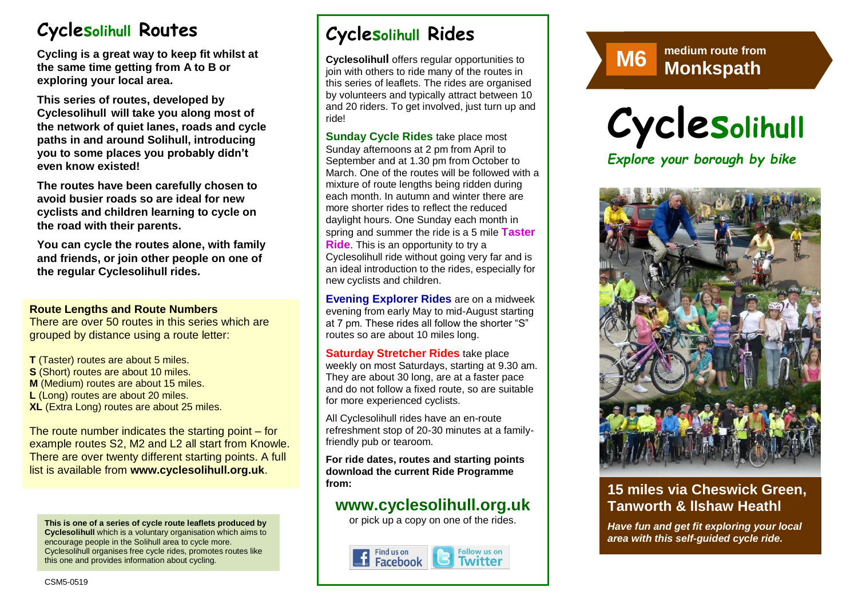# **Cyclesolihull Routes**

**Cycling is a great way to keep fit whilst at the same time getting from A to B or exploring your local area.** 

**This series of routes, developed by Cyclesolihull will take you along most of the network of quiet lanes, roads and cycle paths in and around Solihull, introducing you to some places you probably didn't even know existed!**

**The routes have been carefully chosen to avoid busier roads so are ideal for new cyclists and children learning to cycle on the road with their parents.** 

**You can cycle the routes alone, with family and friends, or join other people on one of the regular Cyclesolihull rides.**

#### **Route Lengths and Route Numbers**

There are over 50 routes in this series which are grouped by distance using a route letter:

**T** (Taster) routes are about 5 miles. **S** (Short) routes are about 10 miles. **M** (Medium) routes are about 15 miles. **L** (Long) routes are about 20 miles. **XL** (Extra Long) routes are about 25 miles.

The route number indicates the starting point – for example routes S2, M2 and L2 all start from Knowle. There are over twenty different starting points. A full list is available from **www.cyclesolihull.org.uk**.

**This is one of a series of cycle route leaflets produced by Cyclesolihull** which is a voluntary organisation which aims to encourage people in the Solihull area to cycle more. Cyclesolihull organises free cycle rides, promotes routes like this one and provides information about cycling.

# **Cyclesolihull Rides**

**Cyclesolihull** offers regular opportunities to join with others to ride many of the routes in this series of leaflets. The rides are organised by volunteers and typically attract between 10 and 20 riders. To get involved, just turn up and ride!

**Sunday Cycle Rides** take place most Sunday afternoons at 2 pm from April to September and at 1.30 pm from October to March. One of the routes will be followed with a mixture of route lengths being ridden during each month. In autumn and winter there are more shorter rides to reflect the reduced daylight hours. One Sunday each month in spring and summer the ride is a 5 mile **Taster Ride**. This is an opportunity to try a Cyclesolihull ride without going very far and is an ideal introduction to the rides, especially for new cyclists and children.

**Evening Explorer Rides** are on a midweek evening from early May to mid-August starting at 7 pm. These rides all follow the shorter "S" routes so are about 10 miles long.

**Saturday Stretcher Rides** take place weekly on most Saturdays, starting at 9.30 am. They are about 30 long, are at a faster pace and do not follow a fixed route, so are suitable for more experienced cyclists.

All Cyclesolihull rides have an en-route refreshment stop of 20-30 minutes at a familyfriendly pub or tearoom.

**For ride dates, routes and starting points download the current Ride Programme from:** 

## **www.cyclesolihull.org.uk**

or pick up a copy on one of the rides.







*Explore your borough by bike*



## **15 miles via Cheswick Green, Tanworth & llshaw Heathl**

*Have fun and get fit exploring your local area with this self-guided cycle ride.*